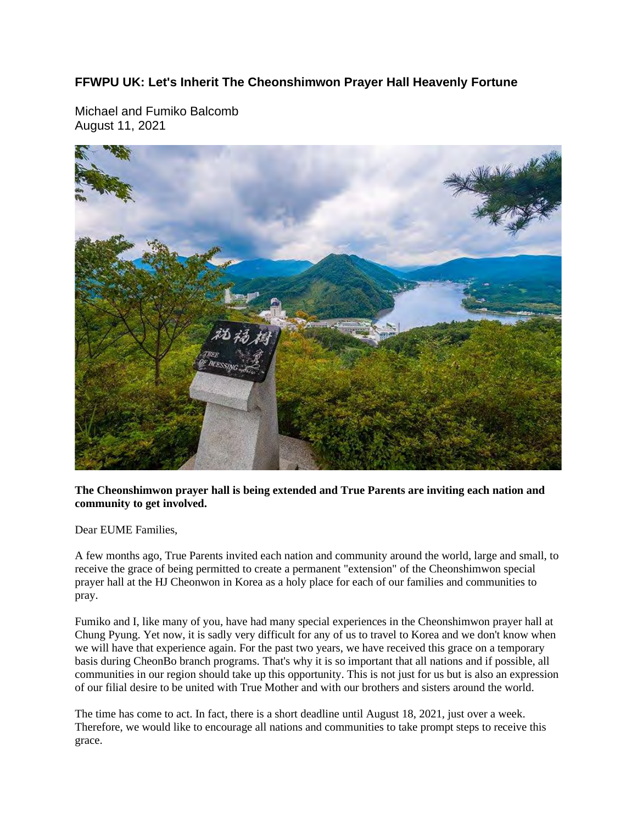## **FFWPU UK: Let's Inherit The Cheonshimwon Prayer Hall Heavenly Fortune**

Michael and Fumiko Balcomb August 11, 2021



## **The Cheonshimwon prayer hall is being extended and True Parents are inviting each nation and community to get involved.**

Dear EUME Families,

A few months ago, True Parents invited each nation and community around the world, large and small, to receive the grace of being permitted to create a permanent "extension" of the Cheonshimwon special prayer hall at the HJ Cheonwon in Korea as a holy place for each of our families and communities to pray.

Fumiko and I, like many of you, have had many special experiences in the Cheonshimwon prayer hall at Chung Pyung. Yet now, it is sadly very difficult for any of us to travel to Korea and we don't know when we will have that experience again. For the past two years, we have received this grace on a temporary basis during CheonBo branch programs. That's why it is so important that all nations and if possible, all communities in our region should take up this opportunity. This is not just for us but is also an expression of our filial desire to be united with True Mother and with our brothers and sisters around the world.

The time has come to act. In fact, there is a short deadline until August 18, 2021, just over a week. Therefore, we would like to encourage all nations and communities to take prompt steps to receive this grace.